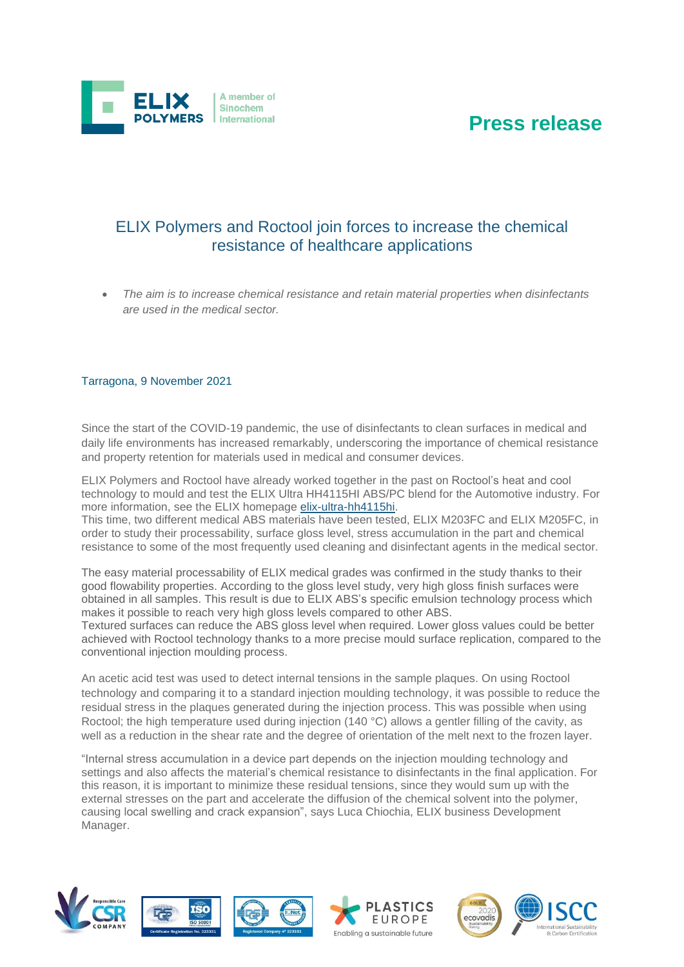

A member of Sinochem International

• *The aim is to increase chemical resistance and retain material properties when disinfectants are used in the medical sector.*

#### Tarragona, 9 November 2021

Since the start of the COVID-19 pandemic, the use of disinfectants to clean surfaces in medical and daily life environments has increased remarkably, underscoring the importance of chemical resistance and property retention for materials used in medical and consumer devices.

ELIX Polymers and Roctool have already worked together in the past on Roctool's heat and cool technology to mould and test the ELIX Ultra HH4115HI ABS/PC blend for the Automotive industry. For more information, see the ELIX homepage [elix-ultra-hh4115hi.](https://www.elix-polymers.com/news/106/roctool-induction-heating-technology-used-to-characterise-elix-ultra-hh4115hi)

This time, two different medical ABS materials have been tested, ELIX M203FC and ELIX M205FC, in order to study their processability, surface gloss level, stress accumulation in the part and chemical resistance to some of the most frequently used cleaning and disinfectant agents in the medical sector.

The easy material processability of ELIX medical grades was confirmed in the study thanks to their good flowability properties. According to the gloss level study, very high gloss finish surfaces were obtained in all samples. This result is due to ELIX ABS's specific emulsion technology process which makes it possible to reach very high gloss levels compared to other ABS.

Textured surfaces can reduce the ABS gloss level when required. Lower gloss values could be better achieved with Roctool technology thanks to a more precise mould surface replication, compared to the conventional injection moulding process.

An acetic acid test was used to detect internal tensions in the sample plaques. On using Roctool technology and comparing it to a standard injection moulding technology, it was possible to reduce the residual stress in the plaques generated during the injection process. This was possible when using Roctool; the high temperature used during injection (140 °C) allows a gentler filling of the cavity, as well as a reduction in the shear rate and the degree of orientation of the melt next to the frozen layer.

"Internal stress accumulation in a device part depends on the injection moulding technology and settings and also affects the material's chemical resistance to disinfectants in the final application. For this reason, it is important to minimize these residual tensions, since they would sum up with the external stresses on the part and accelerate the diffusion of the chemical solvent into the polymer, causing local swelling and crack expansion", says Luca Chiochia, ELIX business Development Manager.









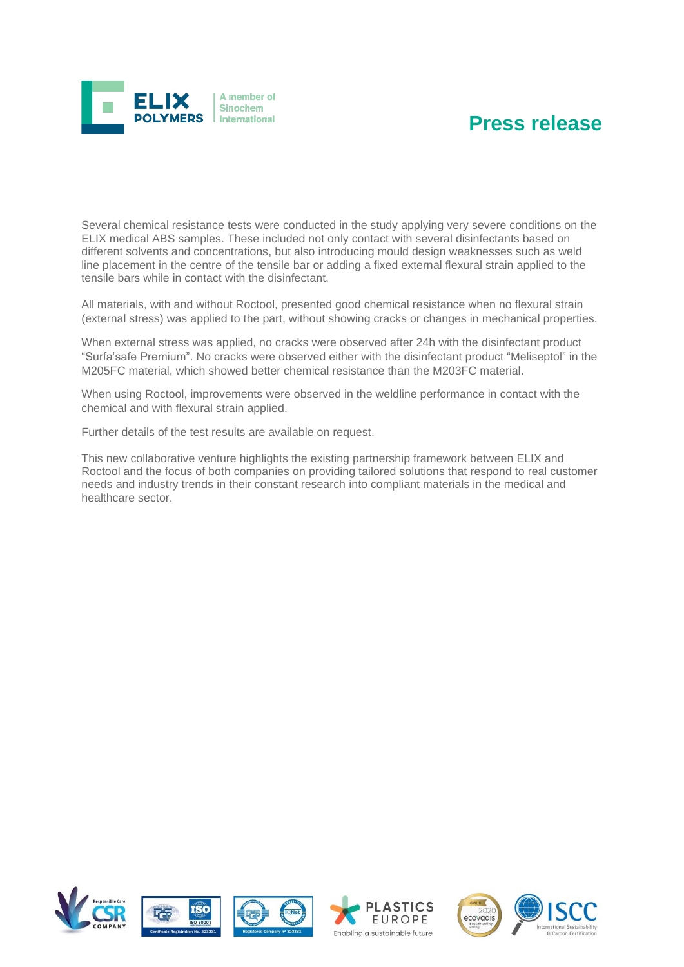

Several chemical resistance tests were conducted in the study applying very severe conditions on the ELIX medical ABS samples. These included not only contact with several disinfectants based on different solvents and concentrations, but also introducing mould design weaknesses such as weld line placement in the centre of the tensile bar or adding a fixed external flexural strain applied to the tensile bars while in contact with the disinfectant.

All materials, with and without Roctool, presented good chemical resistance when no flexural strain (external stress) was applied to the part, without showing cracks or changes in mechanical properties.

When external stress was applied, no cracks were observed after 24h with the disinfectant product "Surfa'safe Premium". No cracks were observed either with the disinfectant product "Meliseptol" in the M205FC material, which showed better chemical resistance than the M203FC material.

When using Roctool, improvements were observed in the weldline performance in contact with the chemical and with flexural strain applied.

Further details of the test results are available on request.

This new collaborative venture highlights the existing partnership framework between ELIX and Roctool and the focus of both companies on providing tailored solutions that respond to real customer needs and industry trends in their constant research into compliant materials in the medical and healthcare sector.









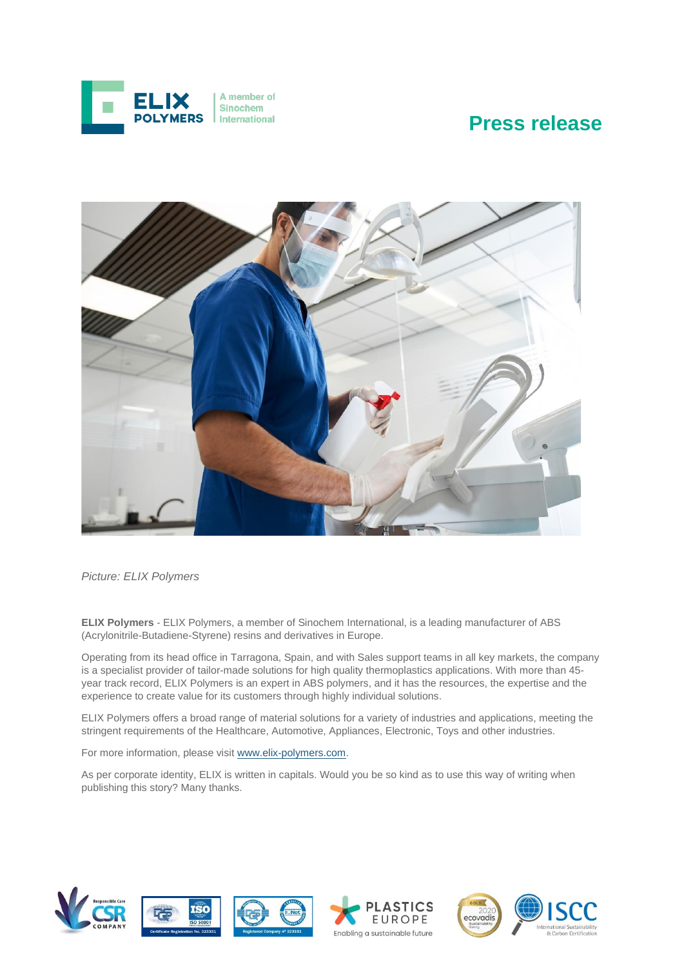



*Picture: ELIX Polymers* 

**ELIX Polymers** - ELIX Polymers, a member of Sinochem International, is a leading manufacturer of ABS (Acrylonitrile-Butadiene-Styrene) resins and derivatives in Europe.

Operating from its head office in Tarragona, Spain, and with Sales support teams in all key markets, the company is a specialist provider of tailor-made solutions for high quality thermoplastics applications. With more than 45 year track record, ELIX Polymers is an expert in ABS polymers, and it has the resources, the expertise and the experience to create value for its customers through highly individual solutions.

ELIX Polymers offers a broad range of material solutions for a variety of industries and applications, meeting the stringent requirements of the Healthcare, Automotive, Appliances, Electronic, Toys and other industries.

For more information, please visi[t www.elix-polymers.com.](http://www.elix-polymers.com/)

As per corporate identity, ELIX is written in capitals. Would you be so kind as to use this way of writing when publishing this story? Many thanks.